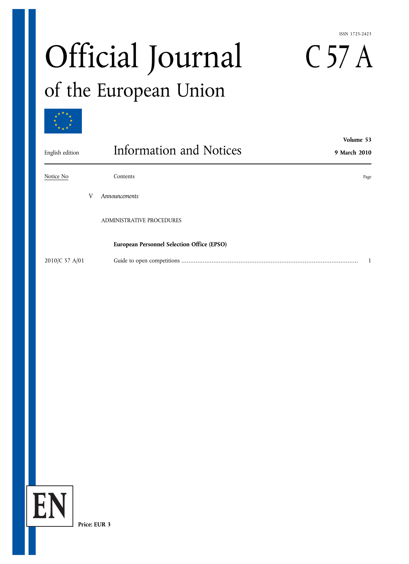#### ISSN 1725-2423

# Official Journal C 57 A<br>of the European Union



| English edition | Volume 53<br>Information and Notices<br>9 March 2010 |      |
|-----------------|------------------------------------------------------|------|
| Notice No       | Contents                                             | Page |
|                 | Announcements                                        |      |
|                 | <b>ADMINISTRATIVE PROCEDURES</b>                     |      |
|                 | <b>European Personnel Selection Office (EPSO)</b>    |      |
| 2010/C 57 A/01  |                                                      |      |

**Price: EUR 3**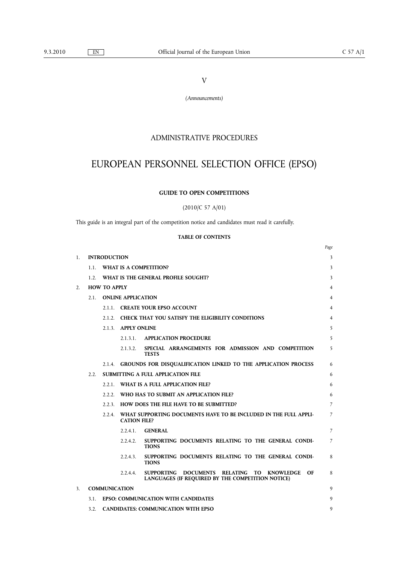V

*(Announcements)*

# ADMINISTRATIVE PROCEDURES

# EUROPEAN PERSONNEL SELECTION OFFICE (EPSO)

#### **GUIDE TO OPEN COMPETITIONS**

(2010/C 57 A/01)

This guide is an integral part of the competition notice and candidates must read it carefully.

#### **TABLE OF CONTENTS**

|                |                     |                      |                           |                                                                                                       | Page           |
|----------------|---------------------|----------------------|---------------------------|-------------------------------------------------------------------------------------------------------|----------------|
| $\mathbf{1}$ . |                     | <b>INTRODUCTION</b>  |                           |                                                                                                       | 3              |
|                | 1.1.                |                      |                           | WHAT IS A COMPETITION?                                                                                | 3              |
|                | 1.2                 |                      |                           | WHAT IS THE GENERAL PROFILE SOUGHT?                                                                   | 3              |
| 2.             |                     | <b>HOW TO APPLY</b>  |                           |                                                                                                       | 4              |
|                | 2.1                 |                      | <b>ONLINE APPLICATION</b> |                                                                                                       | 4              |
|                |                     |                      |                           | 2.1.1. CREATE YOUR EPSO ACCOUNT                                                                       | 4              |
|                |                     |                      |                           | 2.1.2. CHECK THAT YOU SATISFY THE ELIGIBILITY CONDITIONS                                              | 4              |
|                | 2.1.3. APPLY ONLINE |                      | 5                         |                                                                                                       |                |
|                |                     |                      | 2.1.3.1.                  | <b>APPLICATION PROCEDURE</b>                                                                          | 5              |
|                |                     |                      | 2.1.3.2.                  | SPECIAL ARRANGEMENTS FOR ADMISSION AND COMPETITION<br><b>TESTS</b>                                    | 5              |
|                |                     |                      |                           | 2.1.4. GROUNDS FOR DISQUALIFICATION LINKED TO THE APPLICATION PROCESS                                 | 6              |
|                | 2.2                 |                      |                           | <b>SUBMITTING A FULL APPLICATION FILE</b>                                                             | 6              |
|                |                     |                      |                           | 2.2.1. WHAT IS A FULL APPLICATION FILE?                                                               | 6              |
|                |                     |                      |                           | 2.2.2. WHO HAS TO SUBMIT AN APPLICATION FILE?                                                         | 6              |
|                |                     |                      |                           | 2.2.3. HOW DOES THE FILE HAVE TO BE SUBMITTED?                                                        | 7              |
|                | 2.2.4.              |                      | <b>CATION FILE?</b>       | WHAT SUPPORTING DOCUMENTS HAVE TO BE INCLUDED IN THE FULL APPLI-                                      | 7              |
|                |                     |                      | $2.2.4.1$ .               | <b>GENERAL</b>                                                                                        | $\overline{7}$ |
|                |                     |                      | 2.2.4.2.                  | SUPPORTING DOCUMENTS RELATING TO THE GENERAL CONDI-<br><b>TIONS</b>                                   | 7              |
|                |                     |                      | 2.2.4.3.                  | SUPPORTING DOCUMENTS RELATING TO THE GENERAL CONDI-<br><b>TIONS</b>                                   | 8              |
|                |                     |                      | 2.2.4.4.                  | SUPPORTING DOCUMENTS RELATING TO KNOWLEDGE<br>OF<br>LANGUAGES (IF REQUIRED BY THE COMPETITION NOTICE) | 8              |
| 3 <sup>1</sup> |                     | <b>COMMUNICATION</b> |                           |                                                                                                       | 9              |
|                | 3.1                 |                      |                           | <b>EPSO: COMMUNICATION WITH CANDIDATES</b>                                                            | 9              |
|                | 3.2.                |                      |                           | <b>CANDIDATES: COMMUNICATION WITH EPSO</b>                                                            | 9              |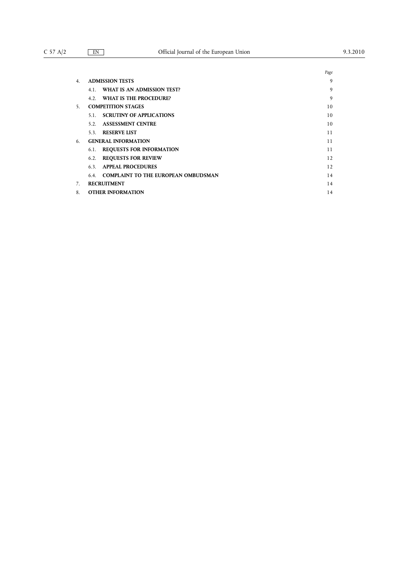|    |                                                   | Page |
|----|---------------------------------------------------|------|
| 4. | <b>ADMISSION TESTS</b>                            | 9    |
|    | WHAT IS AN ADMISSION TEST?<br>4.1.                | 9    |
|    | 4.2. WHAT IS THE PROCEDURE?                       | 9    |
| 5. | <b>COMPETITION STAGES</b>                         | 10   |
|    | <b>SCRUTINY OF APPLICATIONS</b><br>5.1.           | 10   |
|    | <b>ASSESSMENT CENTRE</b><br>5.2.                  | 10   |
|    | 5.3. RESERVE LIST                                 | 11   |
| 6. | <b>GENERAL INFORMATION</b>                        | 11   |
|    | <b>REQUESTS FOR INFORMATION</b><br>6.1.           | 11   |
|    | <b>REQUESTS FOR REVIEW</b><br>6.2.                | 12   |
|    | <b>APPEAL PROCEDURES</b><br>6.3.                  | 12   |
|    | <b>COMPLAINT TO THE EUROPEAN OMBUDSMAN</b><br>6.4 | 14   |
|    | <b>RECRUITMENT</b>                                | 14   |
| 8. | <b>OTHER INFORMATION</b>                          | 14   |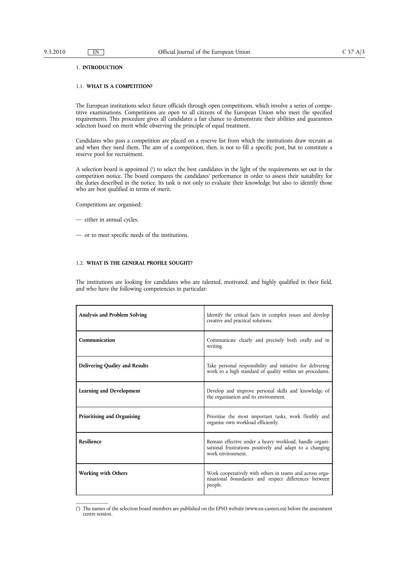#### 1. **INTRODUCTION**

#### 1.1. **WHAT IS A COMPETITION?**

The European institutions select future officials through open competitions, which involve a series of competitive examinations. Competitions are open to all citizens of the European Union who meet the specified requirements. This procedure gives all candidates a fair chance to demonstrate their abilities and guarantees selection based on merit while observing the principle of equal treatment.

Candidates who pass a competition are placed on a reserve list from which the institutions draw recruits as and when they need them. The aim of a competition, then, is not to fill a specific post, but to constitute a reserve pool for recruitment.

A selection board is appointed (<sup>1</sup>) to select the best candidates in the light of the requirements set out in the competition notice. The board compares the candidates' performance in order to assess their suitability for the duties described in the notice. Its task is not only to evaluate their knowledge but also to identify those who are best qualified in terms of merit.

Competitions are organised:

- either in annual cycles,
- or to meet specific needs of the institutions.

#### 1.2. **WHAT IS THE GENERAL PROFILE SOUGHT?**

The institutions are looking for candidates who are talented, motivated, and highly qualified in their field, and who have the following competencies in particular:

| Analysis and Problem Solving          | Identify the critical facts in complex issues and develop<br>creative and practical solutions.                                           |
|---------------------------------------|------------------------------------------------------------------------------------------------------------------------------------------|
| Communication                         | Communicate clearly and precisely both orally and in<br>writing.                                                                         |
| <b>Delivering Quality and Results</b> | Take personal responsibility and initiative for delivering<br>work to a high standard of quality within set procedures.                  |
| <b>Learning and Development</b>       | Develop and improve personal skills and knowledge of<br>the organisation and its environment.                                            |
| Prioritising and Organising           | Prioritise the most important tasks, work flexibly and<br>organise own workload efficiently.                                             |
| <b>Resilience</b>                     | Remain effective under a heavy workload, handle organi-<br>sational frustrations positively and adapt to a changing<br>work environment. |
| <b>Working with Others</b>            | Work cooperatively with others in teams and across orga-<br>nisational boundaries and respect differences between<br>people.             |

<sup>(</sup> 1 ) The names of the selection board members are published on the EPSO website [\(www.eu-careers.eu](http:www.eu-careers.eu)) before the assessment centre session.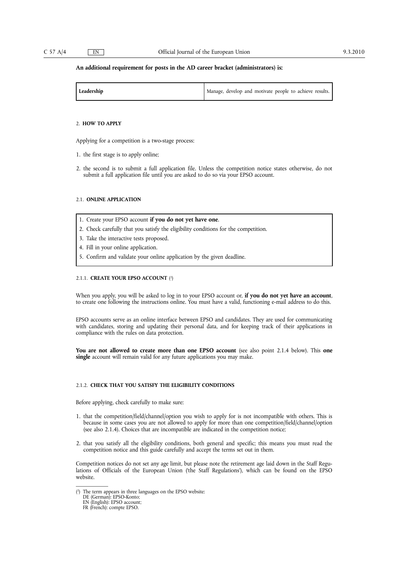#### **An additional requirement for posts in the AD career bracket (administrators) is:**

| Leadership | Manage, develop and motivate people to achieve results. |
|------------|---------------------------------------------------------|
|------------|---------------------------------------------------------|

#### 2. **HOW TO APPLY**

Applying for a competition is a two-stage process:

- 1. the first stage is to apply online;
- 2. the second is to submit a full application file. Unless the competition notice states otherwise, do not submit a full application file until you are asked to do so via your EPSO account.

#### 2.1. **ONLINE APPLICATION**

- 1. Create your EPSO account **if you do not yet have one**.
- 2. Check carefully that you satisfy the eligibility conditions for the competition.
- 3. Take the interactive tests proposed.
- 4. Fill in your online application.
- 5. Confirm and validate your online application by the given deadline.

#### 2.1.1. **CREATE YOUR EPSO ACCOUNT** (2 )

When you apply, you will be asked to log in to your EPSO account or, **if you do not yet have an account**, to create one following the instructions online. You must have a valid, functioning e-mail address to do this.

EPSO accounts serve as an online interface between EPSO and candidates. They are used for communicating with candidates, storing and updating their personal data, and for keeping track of their applications in compliance with the rules on data protection.

**You are not allowed to create more than one EPSO account** (see also point 2.1.4 below). This **one single** account will remain valid for any future applications you may make.

#### 2.1.2. **CHECK THAT YOU SATISFY THE ELIGIBILITY CONDITIONS**

Before applying, check carefully to make sure:

- 1. that the competition/field/channel/option you wish to apply for is not incompatible with others. This is because in some cases you are not allowed to apply for more than one competition/field/channel/option (see also 2.1.4). Choices that are incompatible are indicated in the competition notice;
- 2. that you satisfy all the eligibility conditions, both general and specific; this means you must read the competition notice and this guide carefully and accept the terms set out in them.

Competition notices do not set any age limit, but please note the retirement age laid down in the Staff Regulations of Officials of the European Union ('the Staff Regulations'), which can be found on the EPSO website.

<sup>(</sup> 2 ) The term appears in three languages on the EPSO website:

DE (German): EPSO-Konto;

EN (English): EPSO account;

FR (French): compte EPSO.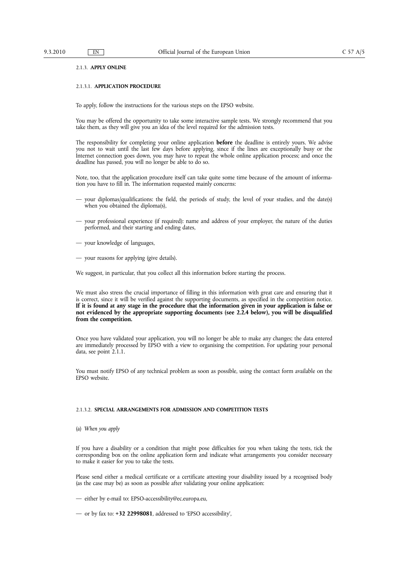#### 2.1.3. **APPLY ONLINE**

#### 2.1.3.1. **APPLICATION PROCEDURE**

To apply, follow the instructions for the various steps on the EPSO website.

You may be offered the opportunity to take some interactive sample tests. We strongly recommend that you take them, as they will give you an idea of the level required for the admission tests.

The responsibility for completing your online application **before** the deadline is entirely yours. We advise you not to wait until the last few days before applying, since if the lines are exceptionally busy or the Internet connection goes down, you may have to repeat the whole online application process; and once the deadline has passed, you will no longer be able to do so.

Note, too, that the application procedure itself can take quite some time because of the amount of information you have to fill in. The information requested mainly concerns:

- your diplomas/qualifications: the field, the periods of study, the level of your studies, and the date(s) when you obtained the diploma(s),
- your professional experience (if required): name and address of your employer, the nature of the duties performed, and their starting and ending dates,
- your knowledge of languages,
- your reasons for applying (give details).

We suggest, in particular, that you collect all this information before starting the process.

We must also stress the crucial importance of filling in this information with great care and ensuring that it is correct, since it will be verified against the supporting documents, as specified in the competition notice. If it is found at any stage in the procedure that the information given in your application is false or **not evidenced by the appropriate supporting documents (see 2.2.4 below), you will be disqualified from the competition.**

Once you have validated your application, you will no longer be able to make any changes; the data entered are immediately processed by EPSO with a view to organising the competition. For updating your personal data, see point 2.1.1.

You must notify EPSO of any technical problem as soon as possible, using the contact form available on the EPSO website.

#### 2.1.3.2. **SPECIAL ARRANGEMENTS FOR ADMISSION AND COMPETITION TESTS**

(a) *When you apply*

If you have a disability or a condition that might pose difficulties for you when taking the tests, tick the corresponding box on the online application form and indicate what arrangements you consider necessary to make it easier for you to take the tests.

Please send either a medical certificate or a certificate attesting your disability issued by a recognised body (as the case may be) as soon as possible after validating your online application:

- either by e-mail to: [EPSO-accessibility@ec.europa.eu](mailto:EPSO-accessibility@ec.europa.eu),
- or by fax to: **+32 22998081**, addressed to 'EPSO accessibility',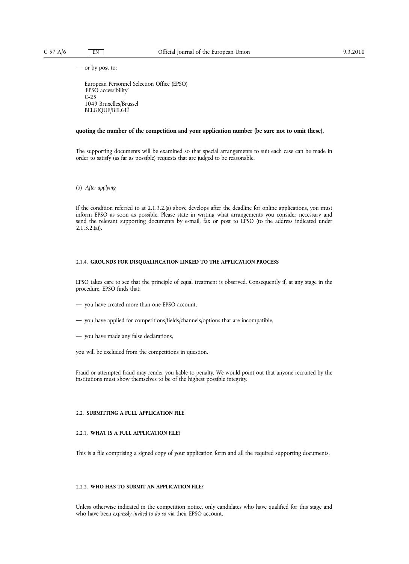— or by post to:

European Personnel Selection Office (EPSO) 'EPSO accessibility' C-25 1049 Bruxelles/Brussel BELGIQUE/BELGIË

#### **quoting the number of the competition and your application number (be sure not to omit these).**

The supporting documents will be examined so that special arrangements to suit each case can be made in order to satisfy (as far as possible) requests that are judged to be reasonable.

(b) *After applying*

If the condition referred to at 2.1.3.2.(a) above develops after the deadline for online applications, you must inform EPSO as soon as possible. Please state in writing what arrangements you consider necessary and send the relevant supporting documents by e-mail, fax or post to EPSO (to the address indicated under 2.1.3.2.(a)).

#### 2.1.4. **GROUNDS FOR DISQUALIFICATION LINKED TO THE APPLICATION PROCESS**

EPSO takes care to see that the principle of equal treatment is observed. Consequently if, at any stage in the procedure, EPSO finds that:

- you have created more than one EPSO account,
- you have applied for competitions/fields/channels/options that are incompatible,
- you have made any false declarations,

you will be excluded from the competitions in question.

Fraud or attempted fraud may render you liable to penalty. We would point out that anyone recruited by the institutions must show themselves to be of the highest possible integrity.

#### 2.2. **SUBMITTING A FULL APPLICATION FILE**

#### 2.2.1. **WHAT IS A FULL APPLICATION FILE?**

This is a file comprising a signed copy of your application form and all the required supporting documents.

#### 2.2.2. **WHO HAS TO SUBMIT AN APPLICATION FILE?**

Unless otherwise indicated in the competition notice, only candidates who have qualified for this stage and who have been *expressly invited to do so* via their EPSO account.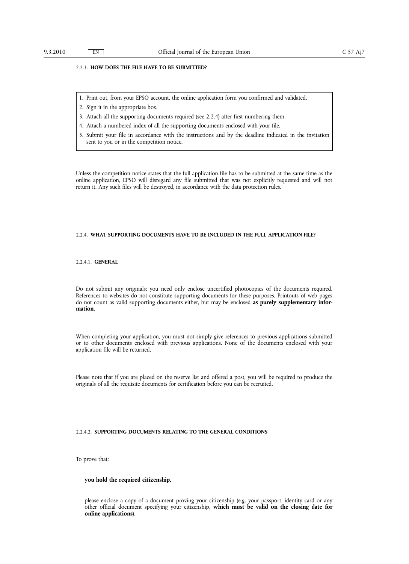#### 2.2.3. **HOW DOES THE FILE HAVE TO BE SUBMITTED?**

- 1. Print out, from your EPSO account, the online application form you confirmed and validated.
- 2. Sign it in the appropriate box.
- 3. Attach all the supporting documents required (see 2.2.4) after first numbering them.
- 4. Attach a numbered index of all the supporting documents enclosed with your file.
- 5. Submit your file in accordance with the instructions and by the deadline indicated in the invitation sent to you or in the competition notice.

Unless the competition notice states that the full application file has to be submitted at the same time as the online application, EPSO will disregard any file submitted that was not explicitly requested and will not return it. Any such files will be destroyed, in accordance with the data protection rules.

#### 2.2.4. **WHAT SUPPORTING DOCUMENTS HAVE TO BE INCLUDED IN THE FULL APPLICATION FILE?**

#### 2.2.4.1. **GENERAL**

Do not submit any originals; you need only enclose uncertified photocopies of the documents required. References to websites do not constitute supporting documents for these purposes. Printouts of web pages do not count as valid supporting documents either, but may be enclosed **as purely supplementary information**.

When completing your application, you must not simply give references to previous applications submitted or to other documents enclosed with previous applications. None of the documents enclosed with your application file will be returned.

Please note that if you are placed on the reserve list and offered a post, you will be required to produce the originals of all the requisite documents for certification before you can be recruited.

#### 2.2.4.2. **SUPPORTING DOCUMENTS RELATING TO THE GENERAL CONDITIONS**

To prove that:

#### — **you hold the required citizenship,**

please enclose a copy of a document proving your citizenship (e.g. your passport, identity card or any other official document specifying your citizenship, **which must be valid on the closing date for online applications**).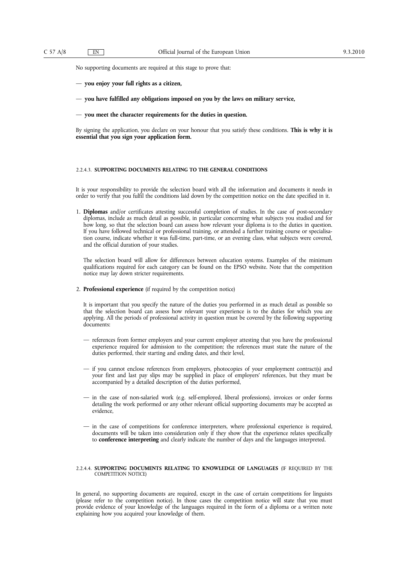No supporting documents are required at this stage to prove that:

- **you enjoy your full rights as a citizen,**
- **you have fulfilled any obligations imposed on you by the laws on military service,**
- **you meet the character requirements for the duties in question.**

By signing the application, you declare on your honour that you satisfy these conditions. **This is why it is essential that you sign your application form.**

#### 2.2.4.3. **SUPPORTING DOCUMENTS RELATING TO THE GENERAL CONDITIONS**

It is your responsibility to provide the selection board with all the information and documents it needs in order to verify that you fulfil the conditions laid down by the competition notice on the date specified in it.

1. **Diplomas** and/or certificates attesting successful completion of studies. In the case of post-secondary diplomas, include as much detail as possible, in particular concerning what subjects you studied and for how long, so that the selection board can assess how relevant your diploma is to the duties in question. If you have followed technical or professional training, or attended a further training course or specialisation course, indicate whether it was full-time, part-time, or an evening class, what subjects were covered, and the official duration of your studies.

The selection board will allow for differences between education systems. Examples of the minimum qualifications required for each category can be found on the EPSO website. Note that the competition notice may lay down stricter requirements.

2. **Professional experience** (if required by the competition notice)

It is important that you specify the nature of the duties you performed in as much detail as possible so that the selection board can assess how relevant your experience is to the duties for which you are applying. All the periods of professional activity in question must be covered by the following supporting documents:

- references from former employers and your current employer attesting that you have the professional experience required for admission to the competition; the references must state the nature of the duties performed, their starting and ending dates, and their level,
- if you cannot enclose references from employers, photocopies of your employment contract(s) and your first and last pay slips may be supplied in place of employers' references, but they must be accompanied by a detailed description of the duties performed,
- in the case of non-salaried work (e.g. self-employed, liberal professions), invoices or order forms detailing the work performed or any other relevant official supporting documents may be accepted as evidence,
- in the case of competitions for conference interpreters, where professional experience is required, documents will be taken into consideration only if they show that the experience relates specifically to **conference interpreting** and clearly indicate the number of days and the languages interpreted.

#### 2.2.4.4. **SUPPORTING DOCUMENTS RELATING TO KNOWLEDGE OF LANGUAGES** (IF REQUIRED BY THE COMPETITION NOTICE)

In general, no supporting documents are required, except in the case of certain competitions for linguists (please refer to the competition notice). In those cases the competition notice will state that you must provide evidence of your knowledge of the languages required in the form of a diploma or a written note explaining how you acquired your knowledge of them.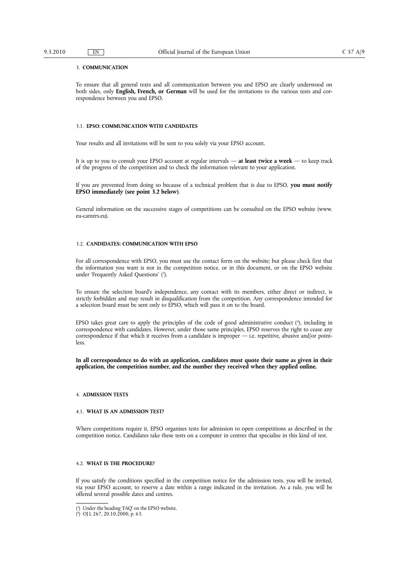#### 3. **COMMUNICATION**

To ensure that all general texts and all communication between you and EPSO are clearly understood on both sides, only **English, French, or German** will be used for the invitations to the various tests and correspondence between you and EPSO.

#### 3.1. **EPSO: COMMUNICATION WITH CANDIDATES**

Your results and all invitations will be sent to you solely via your EPSO account.

It is up to you to consult your EPSO account at regular intervals — **at least twice a week** — to keep track of the progress of the competition and to check the information relevant to your application.

If you are prevented from doing so because of a technical problem that is due to EPSO, **you must notify EPSO immediately (see point 3.2 below)**.

General information on the successive stages of competitions can be consulted on the EPSO website (www. [eu-careers.eu](http:eu-careers.eu)).

#### 3.2. **CANDIDATES: COMMUNICATION WITH EPSO**

For all correspondence with EPSO, you must use the contact form on the website; but please check first that the information you want is not in the competition notice, or in this document, or on the EPSO website under 'Frequently Asked Questions' (3).

To ensure the selection board's independence, any contact with its members, either direct or indirect, is strictly forbidden and may result in disqualification from the competition. Any correspondence intended for a selection board must be sent only to EPSO, which will pass it on to the board.

EPSO takes great care to apply the principles of the code of good administrative conduct (4 ), including in correspondence with candidates. However, under those same principles, EPSO reserves the right to cease any correspondence if that which it receives from a candidate is improper — i.e. repetitive, abusive and/or pointless.

**In all correspondence to do with an application, candidates must quote their name as given in their application, the competition number, and the number they received when they applied online.**

#### 4. **ADMISSION TESTS**

#### 4.1. **WHAT IS AN ADMISSION TEST?**

Where competitions require it, EPSO organises tests for admission to open competitions as described in the competition notice. Candidates take these tests on a computer in centres that specialise in this kind of test.

#### 4.2. **WHAT IS THE PROCEDURE?**

If you satisfy the conditions specified in the competition notice for the admission tests, you will be invited, via your EPSO account, to reserve a date within a range indicated in the invitation. As a rule, you will be offered several possible dates and centres.

<sup>(</sup> 3 ) Under the heading 'FAQ' on the EPSO website.

<sup>(</sup> 4 ) OJ L 267, 20.10.2000, p. 63.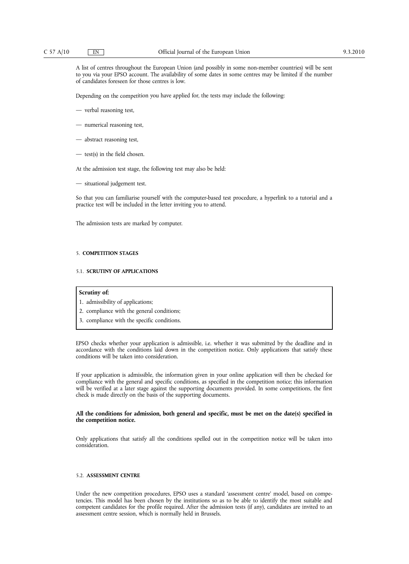A list of centres throughout the European Union (and possibly in some non-member countries) will be sent to you via your EPSO account. The availability of some dates in some centres may be limited if the number of candidates foreseen for those centres is low.

Depending on the competition you have applied for, the tests may include the following:

- verbal reasoning test,
- numerical reasoning test,
- abstract reasoning test,
- test(s) in the field chosen.

At the admission test stage, the following test may also be held:

— situational judgement test.

So that you can familiarise yourself with the computer-based test procedure, a hyperlink to a tutorial and a practice test will be included in the letter inviting you to attend.

The admission tests are marked by computer.

#### 5. **COMPETITION STAGES**

#### 5.1. **SCRUTINY OF APPLICATIONS**

#### **Scrutiny of:**

- 1. admissibility of applications;
- 2. compliance with the general conditions;
- 3. compliance with the specific conditions.

EPSO checks whether your application is admissible, i.e. whether it was submitted by the deadline and in accordance with the conditions laid down in the competition notice. Only applications that satisfy these conditions will be taken into consideration.

If your application is admissible, the information given in your online application will then be checked for compliance with the general and specific conditions, as specified in the competition notice; this information will be verified at a later stage against the supporting documents provided. In some competitions, the first check is made directly on the basis of the supporting documents.

#### **All the conditions for admission, both general and specific, must be met on the date(s) specified in the competition notice.**

Only applications that satisfy all the conditions spelled out in the competition notice will be taken into consideration.

#### 5.2. **ASSESSMENT CENTRE**

Under the new competition procedures, EPSO uses a standard 'assessment centre' model, based on competencies. This model has been chosen by the institutions so as to be able to identify the most suitable and competent candidates for the profile required. After the admission tests (if any), candidates are invited to an assessment centre session, which is normally held in Brussels.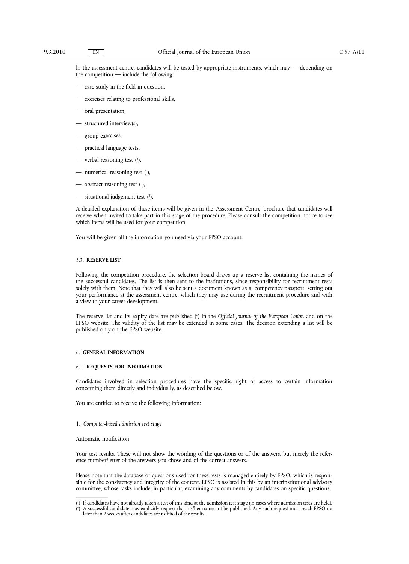In the assessment centre, candidates will be tested by appropriate instruments, which may — depending on the competition — include the following:

- case study in the field in question,
- exercises relating to professional skills,
- oral presentation,
- structured interview(s),
- group exercises,
- practical language tests,
- verbal reasoning test ( 5 ),
- $-$  numerical reasoning test  $(5)$ ,
- abstract reasoning test  $(5)$ ,
- $-$  situational judgement test  $(5)$ .

A detailed explanation of these items will be given in the 'Assessment Centre' brochure that candidates will receive when invited to take part in this stage of the procedure. Please consult the competition notice to see which items will be used for your competition.

You will be given all the information you need via your EPSO account.

#### 5.3. **RESERVE LIST**

Following the competition procedure, the selection board draws up a reserve list containing the names of the successful candidates. The list is then sent to the institutions, since responsibility for recruitment rests solely with them. Note that they will also be sent a document known as a 'competency passport' setting out your performance at the assessment centre, which they may use during the recruitment procedure and with a view to your career development.

The reserve list and its expiry date are published (6 ) in the *Official Journal of the European Union* and on the EPSO website. The validity of the list may be extended in some cases. The decision extending a list will be published only on the EPSO website.

#### 6. **GENERAL INFORMATION**

#### 6.1. **REQUESTS FOR INFORMATION**

Candidates involved in selection procedures have the specific right of access to certain information concerning them directly and individually, as described below.

You are entitled to receive the following information:

1. *Computer-based admission test stage*

#### Automatic notification

Your test results. These will not show the wording of the questions or of the answers, but merely the reference number/letter of the answers you chose and of the correct answers.

Please note that the database of questions used for these tests is managed entirely by EPSO, which is responsible for the consistency and integrity of the content. EPSO is assisted in this by an interinstitutional advisory committee, whose tasks include, in particular, examining any comments by candidates on specific questions.

<sup>(</sup> 5 ) If candidates have not already taken a test of this kind at the admission test stage (in cases where admission tests are held).

<sup>(</sup> 6 ) A successful candidate may explicitly request that his/her name not be published. Any such request must reach EPSO no later than 2 weeks after candidates are notified of the results.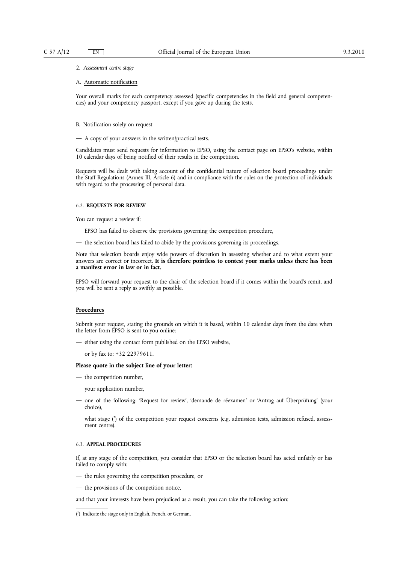#### 2. *Assessment centre stage*

#### A. Automatic notification

Your overall marks for each competency assessed (specific competencies in the field and general competencies) and your competency passport, except if you gave up during the tests.

#### B. Notification solely on request

— A copy of your answers in the written/practical tests.

Candidates must send requests for information to EPSO, using the contact page on EPSO's website, within 10 calendar days of being notified of their results in the competition.

Requests will be dealt with taking account of the confidential nature of selection board proceedings under the Staff Regulations (Annex III, Article 6) and in compliance with the rules on the protection of individuals with regard to the processing of personal data.

#### 6.2. **REQUESTS FOR REVIEW**

You can request a review if:

- EPSO has failed to observe the provisions governing the competition procedure,
- the selection board has failed to abide by the provisions governing its proceedings.

Note that selection boards enjoy wide powers of discretion in assessing whether and to what extent your answers are correct or incorrect. **It is therefore pointless to contest your marks unless there has been a manifest error in law or in fact.**

EPSO will forward your request to the chair of the selection board if it comes within the board's remit, and you will be sent a reply as swiftly as possible.

#### **Procedures**

Submit your request, stating the grounds on which it is based, within 10 calendar days from the date when the letter from EPSO is sent to you online:

- either using the contact form published on the EPSO website,
- or by fax to: +32 22979611.

#### **Please quote in the subject line of your letter:**

- the competition number,
- your application number,
- one of the following: 'Request for review', 'demande de réexamen' or 'Antrag auf Überprüfung' (your choice),
- what stage (7 ) of the competition your request concerns (e.g. admission tests, admission refused, assessment centre).

#### 6.3. **APPEAL PROCEDURES**

If, at any stage of the competition, you consider that EPSO or the selection board has acted unfairly or has failed to comply with:

- the rules governing the competition procedure, or
- the provisions of the competition notice,

and that your interests have been prejudiced as a result, you can take the following action:

<sup>(</sup> 7 ) Indicate the stage only in English, French, or German.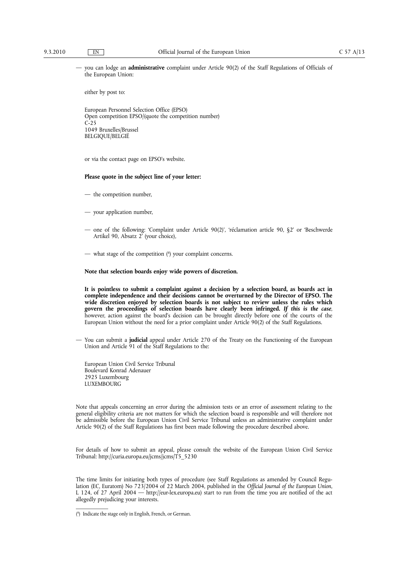— you can lodge an **administrative** complaint under Article 90(2) of the Staff Regulations of Officials of the European Union:

either by post to:

European Personnel Selection Office (EPSO) Open competition EPSO/(quote the competition number)  $C-25$ 1049 Bruxelles/Brussel BELGIQUE/BELGIË

or via the contact page on EPSO's website.

#### **Please quote in the subject line of your letter:**

- the competition number,
- your application number,
- one of the following: 'Complaint under Article 90(2)', 'réclamation article 90, §2' or 'Beschwerde Artikel 90, Absatz 2' (your choice),
- what stage of the competition (8 ) your complaint concerns.

#### **Note that selection boards enjoy wide powers of discretion.**

**It is pointless to submit a complaint against a decision by a selection board, as boards act in complete independence and their decisions cannot be overturned by the Director of EPSO. The wide discretion enjoyed by selection boards is not subject to review unless the rules which govern the proceedings of selection boards have clearly been infringed.** *If this is the case*, however, action against the board's decision can be brought directly before one of the courts of the European Union without the need for a prior complaint under Article 90(2) of the Staff Regulations.

— You can submit a **judicial** appeal under Article 270 of the Treaty on the Functioning of the European Union and Article 91 of the Staff Regulations to the:

European Union Civil Service Tribunal Boulevard Konrad Adenauer 2925 Luxembourg LUXEMBOURG

Note that appeals concerning an error during the admission tests or an error of assessment relating to the general eligibility criteria are not matters for which the selection board is responsible and will therefore not be admissible before the European Union Civil Service Tribunal unless an administrative complaint under Article 90(2) of the Staff Regulations has first been made following the procedure described above.

For details of how to submit an appeal, please consult the website of the European Union Civil Service Tribunal: [http://curia.europa.eu/jcms/jcms/T5\\_5230](http://curia.europa.eu/jcms/jcms/T5_5230)

The time limits for initiating both types of procedure (see Staff Regulations as amended by Council Regulation (EC, Euratom) No 723/2004 of 22 March 2004, published in the *Official Journal of the European Union*, L 124, of 27 April 2004 — [http://eur-lex.europa.eu](http:http://eur-lex.europa.eu)) start to run from the time you are notified of the act allegedly prejudicing your interests.

<sup>(</sup> 8 ) Indicate the stage only in English, French, or German.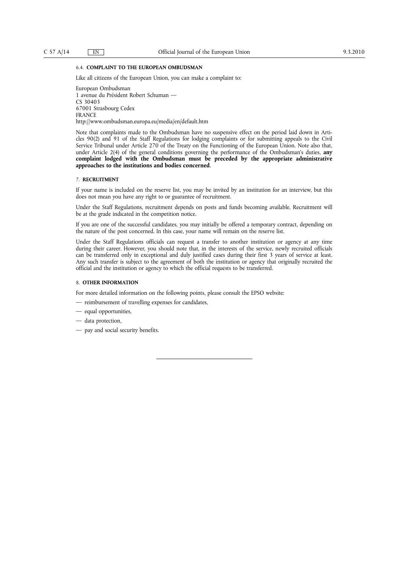#### 6.4. **COMPLAINT TO THE EUROPEAN OMBUDSMAN**

Like all citizens of the European Union, you can make a complaint to:

European Ombudsman 1 avenue du Président Robert Schuman — CS 30403 67001 Strasbourg Cedex FRANCE <http://www.ombudsman.europa.eu/media/en/default.htm>

Note that complaints made to the Ombudsman have no suspensive effect on the period laid down in Articles 90(2) and 91 of the Staff Regulations for lodging complaints or for submitting appeals to the Civil Service Tribunal under Article 270 of the Treaty on the Functioning of the European Union. Note also that, under Article 2(4) of the general conditions governing the performance of the Ombudsman's duties, **any complaint lodged with the Ombudsman must be preceded by the appropriate administrative approaches to the institutions and bodies concerned**.

#### 7. **RECRUITMENT**

If your name is included on the reserve list, you may be invited by an institution for an interview, but this does not mean you have any right to or guarantee of recruitment.

Under the Staff Regulations, recruitment depends on posts and funds becoming available. Recruitment will be at the grade indicated in the competition notice.

If you are one of the successful candidates, you may initially be offered a temporary contract, depending on the nature of the post concerned. In this case, your name will remain on the reserve list.

Under the Staff Regulations officials can request a transfer to another institution or agency at any time during their career. However, you should note that, in the interests of the service, newly recruited officials can be transferred only in exceptional and duly justified cases during their first 3 years of service at least. Any such transfer is subject to the agreement of both the institution or agency that originally recruited the official and the institution or agency to which the official requests to be transferred.

#### 8. **OTHER INFORMATION**

For more detailed information on the following points, please consult the EPSO website:

- reimbursement of travelling expenses for candidates,
- equal opportunities,
- data protection,
- pay and social security benefits.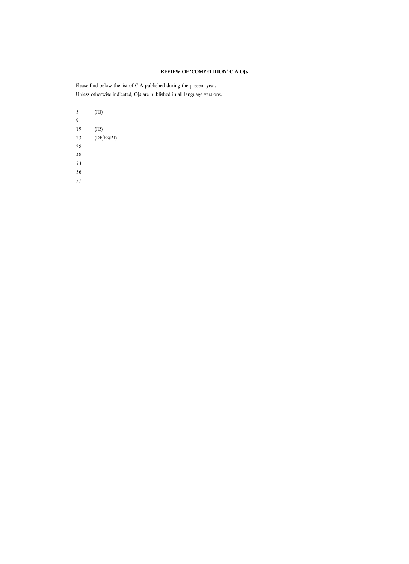### **REVIEW OF 'COMPETITION' C A OJs**

Please find below the list of C A published during the present year. Unless otherwise indicated, OJs are published in all language versions.